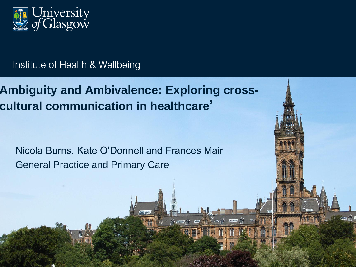

#### Institute of Health & Wellbeing

**Ambiguity and Ambivalence: Exploring crosscultural communication in healthcare'**

Nicola Burns, Kate O'Donnell and Frances Mair General Practice and Primary Care

mna

 $TT_{\perp}$ 

 $\pi$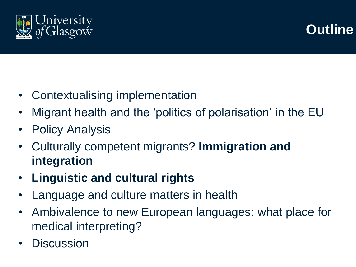

#### **Outline**

- Contextualising implementation
- Migrant health and the 'politics of polarisation' in the EU
- **Policy Analysis**
- Culturally competent migrants? **Immigration and integration**
- **Linguistic and cultural rights**
- Language and culture matters in health
- Ambivalence to new European languages: what place for medical interpreting?
- **Discussion**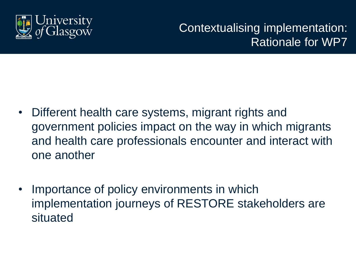

Contextualising implementation: Rationale for WP7

- Different health care systems, migrant rights and government policies impact on the way in which migrants and health care professionals encounter and interact with one another
- Importance of policy environments in which implementation journeys of RESTORE stakeholders are situated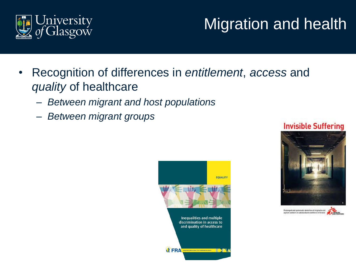

# Migration and health

- Recognition of differences in *entitlement*, *access* and *quality* of healthcare
	- *Between migrant and host populations*
	- *Between migrant groups*







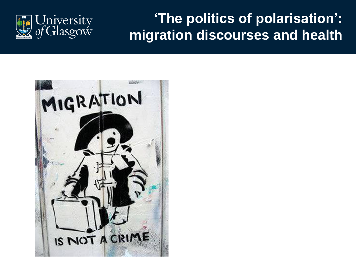

#### **'The politics of polarisation': migration discourses and health**

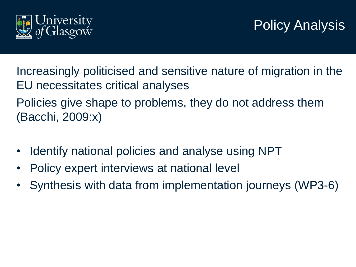

### Policy Analysis

Increasingly politicised and sensitive nature of migration in the EU necessitates critical analyses Policies give shape to problems, they do not address them

(Bacchi, 2009:x)

- Identify national policies and analyse using NPT
- Policy expert interviews at national level
- Synthesis with data from implementation journeys (WP3-6)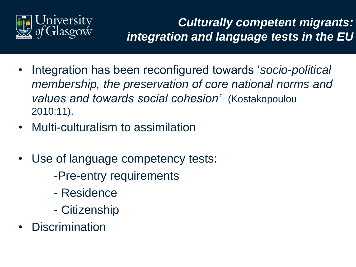

#### *Culturally competent migrants: integration and language tests in the EU*

- Integration has been reconfigured towards '*socio-political membership, the preservation of core national norms and values and towards social cohesion'* (Kostakopoulou 2010:11).
- Multi-culturalism to assimilation
- Use of language competency tests:
	- -Pre-entry requirements
	- Residence
	- Citizenship
- **Discrimination**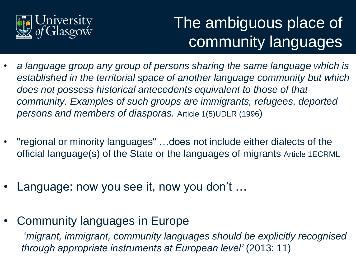

# The ambiguous place of community languages

- *a language group any group of persons sharing the same language which is established in the territorial space of another language community but which does not possess historical antecedents equivalent to those of that community. Examples of such groups are immigrants, refugees, deported persons and members of diasporas.* Article 1(5)UDLR (1996)
- "regional or minority languages" …does not include either dialects of the official language(s) of the State or the languages of migrants Article 1ECRML
- Language: now you see it, now you don't ...
- Community languages in Europe

'*migrant, immigrant, community languages should be explicitly recognised through appropriate instruments at European level'* (2013: 11)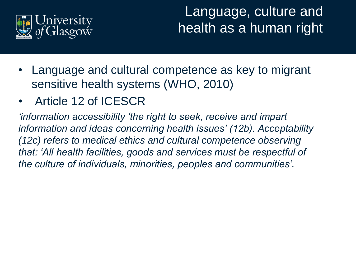

Language, culture and health as a human right

- Language and cultural competence as key to migrant sensitive health systems (WHO, 2010)
- Article 12 of ICESCR

*'information accessibility 'the right to seek, receive and impart information and ideas concerning health issues' (12b). Acceptability (12c) refers to medical ethics and cultural competence observing that: 'All health facilities, goods and services must be respectful of the culture of individuals, minorities, peoples and communities'.*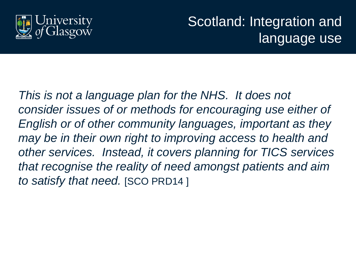

Scotland: Integration and language use

*This is not a language plan for the NHS. It does not consider issues of or methods for encouraging use either of English or of other community languages, important as they may be in their own right to improving access to health and other services. Instead, it covers planning for TICS services that recognise the reality of need amongst patients and aim to satisfy that need.* [SCO PRD14 ]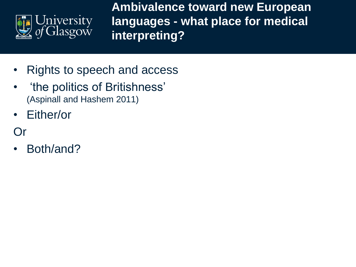

**Ambivalence toward new European languages - what place for medical interpreting?** 

- Rights to speech and access
- 'the politics of Britishness' (Aspinall and Hashem 2011)
- Either/or

Or

• Both/and?